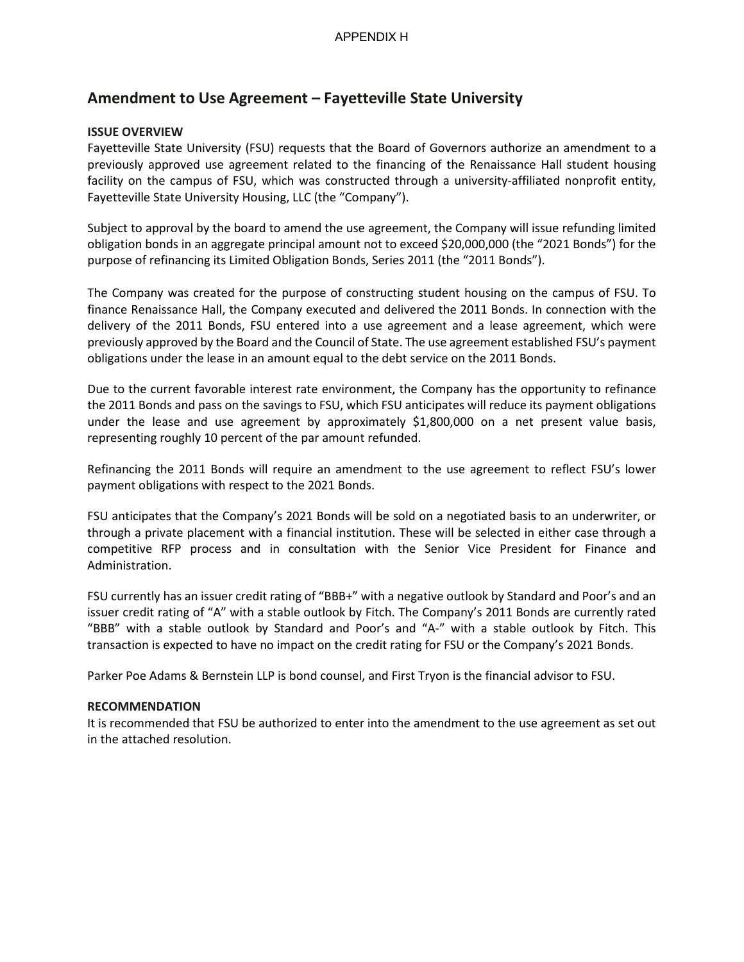# **Amendment to Use Agreement – Fayetteville State University**

## **ISSUE OVERVIEW**

Fayetteville State University (FSU) requests that the Board of Governors authorize an amendment to a previously approved use agreement related to the financing of the Renaissance Hall student housing facility on the campus of FSU, which was constructed through a university-affiliated nonprofit entity, Fayetteville State University Housing, LLC (the "Company").

Subject to approval by the board to amend the use agreement, the Company will issue refunding limited obligation bonds in an aggregate principal amount not to exceed \$20,000,000 (the "2021 Bonds") for the purpose of refinancing its Limited Obligation Bonds, Series 2011 (the "2011 Bonds").

The Company was created for the purpose of constructing student housing on the campus of FSU. To finance Renaissance Hall, the Company executed and delivered the 2011 Bonds. In connection with the delivery of the 2011 Bonds, FSU entered into a use agreement and a lease agreement, which were previously approved by the Board and the Council of State. The use agreement established FSU's payment obligations under the lease in an amount equal to the debt service on the 2011 Bonds.

Due to the current favorable interest rate environment, the Company has the opportunity to refinance the 2011 Bonds and pass on the savings to FSU, which FSU anticipates will reduce its payment obligations under the lease and use agreement by approximately \$1,800,000 on a net present value basis, representing roughly 10 percent of the par amount refunded.

Refinancing the 2011 Bonds will require an amendment to the use agreement to reflect FSU's lower payment obligations with respect to the 2021 Bonds.

FSU anticipates that the Company's 2021 Bonds will be sold on a negotiated basis to an underwriter, or through a private placement with a financial institution. These will be selected in either case through a competitive RFP process and in consultation with the Senior Vice President for Finance and Administration.

FSU currently has an issuer credit rating of "BBB+" with a negative outlook by Standard and Poor's and an issuer credit rating of "A" with a stable outlook by Fitch. The Company's 2011 Bonds are currently rated "BBB" with a stable outlook by Standard and Poor's and "A-" with a stable outlook by Fitch. This transaction is expected to have no impact on the credit rating for FSU or the Company's 2021 Bonds.

Parker Poe Adams & Bernstein LLP is bond counsel, and First Tryon is the financial advisor to FSU.

#### **RECOMMENDATION**

It is recommended that FSU be authorized to enter into the amendment to the use agreement as set out in the attached resolution.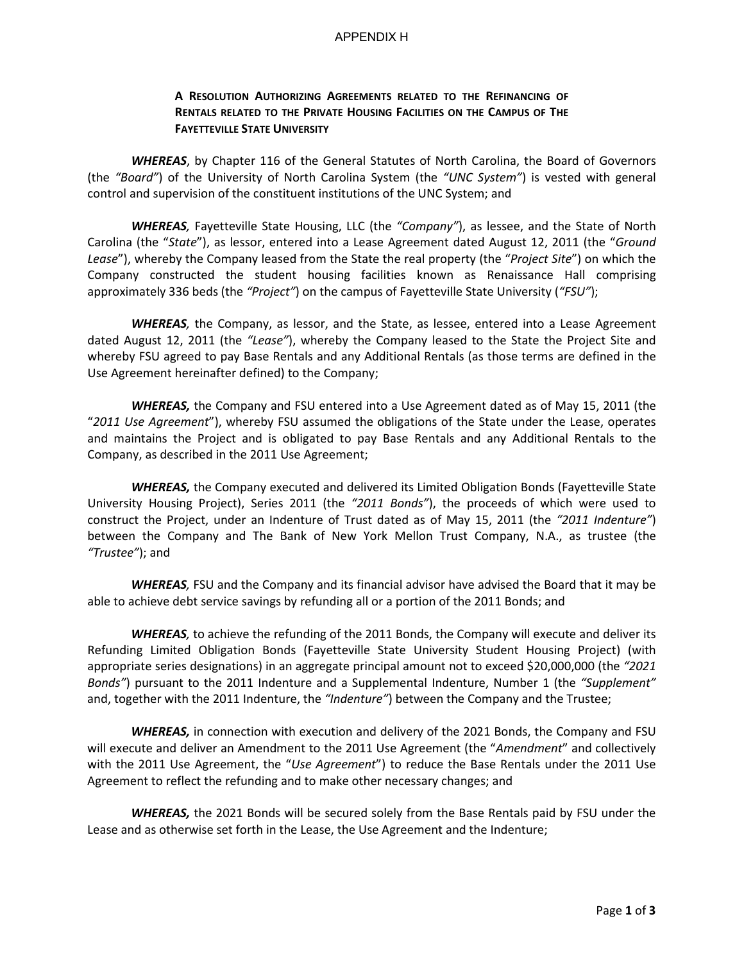#### APPENDIX H

# **A RESOLUTION AUTHORIZING AGREEMENTS RELATED TO THE REFINANCING OF RENTALS RELATED TO THE PRIVATE HOUSING FACILITIES ON THE CAMPUS OF THE FAYETTEVILLE STATE UNIVERSITY**

*WHEREAS*, by Chapter 116 of the General Statutes of North Carolina, the Board of Governors (the *"Board"*) of the University of North Carolina System (the *"UNC System"*) is vested with general control and supervision of the constituent institutions of the UNC System; and

*WHEREAS,* Fayetteville State Housing, LLC (the *"Company"*), as lessee, and the State of North Carolina (the "*State*"), as lessor, entered into a Lease Agreement dated August 12, 2011 (the "*Ground Lease*"), whereby the Company leased from the State the real property (the "*Project Site*") on which the Company constructed the student housing facilities known as Renaissance Hall comprising approximately 336 beds (the *"Project"*) on the campus of Fayetteville State University (*"FSU"*);

*WHEREAS,* the Company, as lessor, and the State, as lessee, entered into a Lease Agreement dated August 12, 2011 (the *"Lease"*), whereby the Company leased to the State the Project Site and whereby FSU agreed to pay Base Rentals and any Additional Rentals (as those terms are defined in the Use Agreement hereinafter defined) to the Company;

*WHEREAS,* the Company and FSU entered into a Use Agreement dated as of May 15, 2011 (the "*2011 Use Agreement*"), whereby FSU assumed the obligations of the State under the Lease, operates and maintains the Project and is obligated to pay Base Rentals and any Additional Rentals to the Company, as described in the 2011 Use Agreement;

*WHEREAS,* the Company executed and delivered its Limited Obligation Bonds (Fayetteville State University Housing Project), Series 2011 (the *"2011 Bonds"*), the proceeds of which were used to construct the Project, under an Indenture of Trust dated as of May 15, 2011 (the *"2011 Indenture"*) between the Company and The Bank of New York Mellon Trust Company, N.A., as trustee (the *"Trustee"*); and

*WHEREAS,* FSU and the Company and its financial advisor have advised the Board that it may be able to achieve debt service savings by refunding all or a portion of the 2011 Bonds; and

*WHEREAS,* to achieve the refunding of the 2011 Bonds, the Company will execute and deliver its Refunding Limited Obligation Bonds (Fayetteville State University Student Housing Project) (with appropriate series designations) in an aggregate principal amount not to exceed \$20,000,000 (the *"2021 Bonds"*) pursuant to the 2011 Indenture and a Supplemental Indenture, Number 1 (the *"Supplement"* and, together with the 2011 Indenture, the *"Indenture"*) between the Company and the Trustee;

*WHEREAS,* in connection with execution and delivery of the 2021 Bonds, the Company and FSU will execute and deliver an Amendment to the 2011 Use Agreement (the "*Amendment*" and collectively with the 2011 Use Agreement, the "*Use Agreement*") to reduce the Base Rentals under the 2011 Use Agreement to reflect the refunding and to make other necessary changes; and

*WHEREAS,* the 2021 Bonds will be secured solely from the Base Rentals paid by FSU under the Lease and as otherwise set forth in the Lease, the Use Agreement and the Indenture;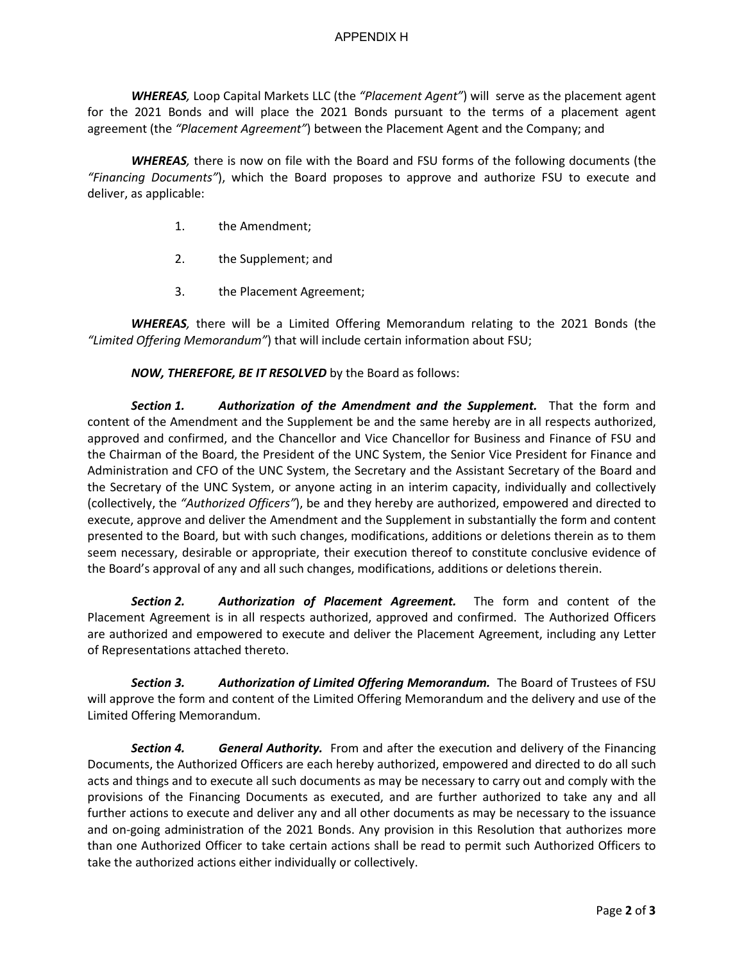*WHEREAS,* Loop Capital Markets LLC (the *"Placement Agent"*) will serve as the placement agent for the 2021 Bonds and will place the 2021 Bonds pursuant to the terms of a placement agent agreement (the *"Placement Agreement"*) between the Placement Agent and the Company; and

*WHEREAS,* there is now on file with the Board and FSU forms of the following documents (the *"Financing Documents"*), which the Board proposes to approve and authorize FSU to execute and deliver, as applicable:

- 1. the Amendment;
- 2. the Supplement; and
- 3. the Placement Agreement;

*WHEREAS,* there will be a Limited Offering Memorandum relating to the 2021 Bonds (the *"Limited Offering Memorandum"*) that will include certain information about FSU;

*NOW, THEREFORE, BE IT RESOLVED* by the Board as follows:

*Section 1. Authorization of the Amendment and the Supplement.* That the form and content of the Amendment and the Supplement be and the same hereby are in all respects authorized, approved and confirmed, and the Chancellor and Vice Chancellor for Business and Finance of FSU and the Chairman of the Board, the President of the UNC System, the Senior Vice President for Finance and Administration and CFO of the UNC System, the Secretary and the Assistant Secretary of the Board and the Secretary of the UNC System, or anyone acting in an interim capacity, individually and collectively (collectively, the *"Authorized Officers"*), be and they hereby are authorized, empowered and directed to execute, approve and deliver the Amendment and the Supplement in substantially the form and content presented to the Board, but with such changes, modifications, additions or deletions therein as to them seem necessary, desirable or appropriate, their execution thereof to constitute conclusive evidence of the Board's approval of any and all such changes, modifications, additions or deletions therein.

*Section 2. Authorization of Placement Agreement.* The form and content of the Placement Agreement is in all respects authorized, approved and confirmed. The Authorized Officers are authorized and empowered to execute and deliver the Placement Agreement, including any Letter of Representations attached thereto.

*Section 3. Authorization of Limited Offering Memorandum.* The Board of Trustees of FSU will approve the form and content of the Limited Offering Memorandum and the delivery and use of the Limited Offering Memorandum.

*Section 4. General Authority.* From and after the execution and delivery of the Financing Documents, the Authorized Officers are each hereby authorized, empowered and directed to do all such acts and things and to execute all such documents as may be necessary to carry out and comply with the provisions of the Financing Documents as executed, and are further authorized to take any and all further actions to execute and deliver any and all other documents as may be necessary to the issuance and on-going administration of the 2021 Bonds. Any provision in this Resolution that authorizes more than one Authorized Officer to take certain actions shall be read to permit such Authorized Officers to take the authorized actions either individually or collectively.